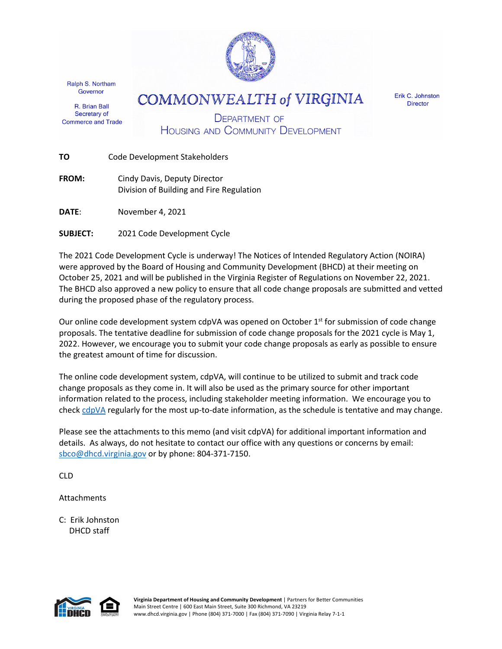

Ralph S. Northam Governor

R. Brian Ball Secretary of **Commerce and Trade**  **COMMONWEALTH of VIRGINIA** 

Erik C. Johnston **Director** 

**DEPARTMENT OF HOUSING AND COMMUNITY DEVELOPMENT** 

|  | ΤО | Code Development Stakeholders |
|--|----|-------------------------------|
|--|----|-------------------------------|

**FROM:** Cindy Davis, Deputy Director Division of Building and Fire Regulation

**DATE**: November 4, 2021

**SUBJECT:** 2021 Code Development Cycle

The 2021 Code Development Cycle is underway! The Notices of Intended Regulatory Action (NOIRA) were approved by the Board of Housing and Community Development (BHCD) at their meeting on October 25, 2021 and will be published in the Virginia Register of Regulations on November 22, 2021. The BHCD also approved a new policy to ensure that all code change proposals are submitted and vetted during the proposed phase of the regulatory process.

Our online code development system cdpVA was opened on October  $1<sup>st</sup>$  for submission of code change proposals. The tentative deadline for submission of code change proposals for the 2021 cycle is May 1, 2022. However, we encourage you to submit your code change proposals as early as possible to ensure the greatest amount of time for discussion.

The online code development system, cdpVA, will continue to be utilized to submit and track code change proposals as they come in. It will also be used as the primary source for other important information related to the process, including stakeholder meeting information. We encourage you to check [cdpVA](https://va.cdpaccess.com/) regularly for the most up-to-date information, as the schedule is tentative and may change.

Please see the attachments to this memo (and visit cdpVA) for additional important information and details. As always, do not hesitate to contact our office with any questions or concerns by email: [sbco@dhcd.virginia.gov](mailto:sbco@dhcd.virginia.gov) or by phone: 804-371-7150.

CLD

**Attachments** 

C: Erik Johnston DHCD staff



**Virginia Department of Housing and Community Development** | Partners for Better Communities Main Street Centre | 600 East Main Street, Suite 300 Richmond, VA 23219 www.dhcd.virginia.gov | Phone (804) 371-7000 | Fax (804) 371-7090 | Virginia Relay 7-1-1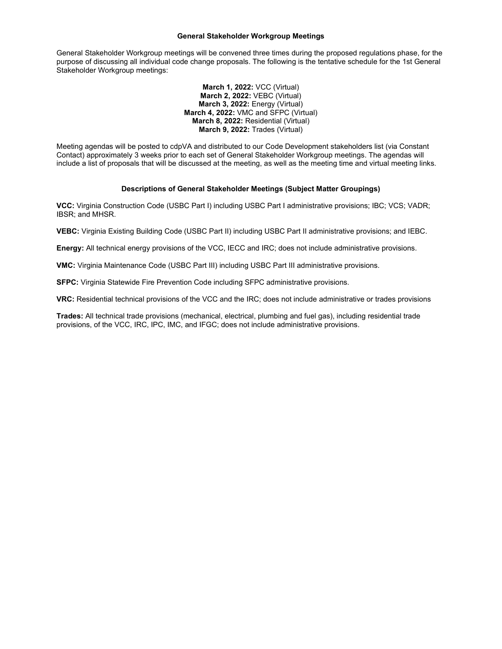## **General Stakeholder Workgroup Meetings**

General Stakeholder Workgroup meetings will be convened three times during the proposed regulations phase, for the purpose of discussing all individual code change proposals. The following is the tentative schedule for the 1st General Stakeholder Workgroup meetings:

> **March 1, 2022:** VCC (Virtual) **March 2, 2022:** VEBC (Virtual) **March 3, 2022:** Energy (Virtual) **March 4, 2022:** VMC and SFPC (Virtual) **March 8, 2022:** Residential (Virtual) **March 9, 2022:** Trades (Virtual)

Meeting agendas will be posted to cdpVA and distributed to our Code Development stakeholders list (via Constant Contact) approximately 3 weeks prior to each set of General Stakeholder Workgroup meetings. The agendas will include a list of proposals that will be discussed at the meeting, as well as the meeting time and virtual meeting links.

# **Descriptions of General Stakeholder Meetings (Subject Matter Groupings)**

**VCC:** Virginia Construction Code (USBC Part I) including USBC Part I administrative provisions; IBC; VCS; VADR; IBSR; and MHSR.

**VEBC:** Virginia Existing Building Code (USBC Part II) including USBC Part II administrative provisions; and IEBC.

**Energy:** All technical energy provisions of the VCC, IECC and IRC; does not include administrative provisions.

**VMC:** Virginia Maintenance Code (USBC Part III) including USBC Part III administrative provisions.

**SFPC:** Virginia Statewide Fire Prevention Code including SFPC administrative provisions.

**VRC:** Residential technical provisions of the VCC and the IRC; does not include administrative or trades provisions

**Trades:** All technical trade provisions (mechanical, electrical, plumbing and fuel gas), including residential trade provisions, of the VCC, IRC, IPC, IMC, and IFGC; does not include administrative provisions.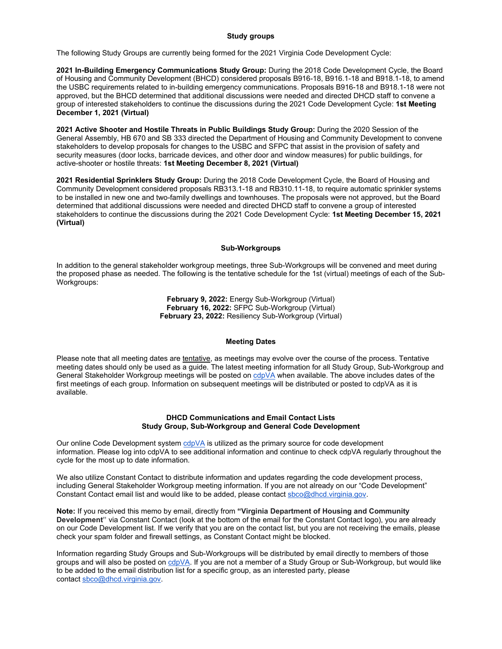## **Study groups**

The following Study Groups are currently being formed for the 2021 Virginia Code Development Cycle:

**2021 In-Building Emergency Communications Study Group:** During the 2018 Code Development Cycle, the Board of Housing and Community Development (BHCD) considered proposals B916-18, B916.1-18 and B918.1-18, to amend the USBC requirements related to in-building emergency communications. Proposals B916-18 and B918.1-18 were not approved, but the BHCD determined that additional discussions were needed and directed DHCD staff to convene a group of interested stakeholders to continue the discussions during the 2021 Code Development Cycle: **1st Meeting December 1, 2021 (Virtual)**

**2021 Active Shooter and Hostile Threats in Public Buildings Study Group:** During the 2020 Session of the General Assembly, HB 670 and SB 333 directed the Department of Housing and Community Development to convene stakeholders to develop proposals for changes to the USBC and SFPC that assist in the provision of safety and security measures (door locks, barricade devices, and other door and window measures) for public buildings, for active-shooter or hostile threats: **1st Meeting December 8, 2021 (Virtual)**

**2021 Residential Sprinklers Study Group:** During the 2018 Code Development Cycle, the Board of Housing and Community Development considered proposals RB313.1-18 and RB310.11-18, to require automatic sprinkler systems to be installed in new one and two-family dwellings and townhouses. The proposals were not approved, but the Board determined that additional discussions were needed and directed DHCD staff to convene a group of interested stakeholders to continue the discussions during the 2021 Code Development Cycle: **1st Meeting December 15, 2021 (Virtual)**

### **Sub-Workgroups**

In addition to the general stakeholder workgroup meetings, three Sub-Workgroups will be convened and meet during the proposed phase as needed. The following is the tentative schedule for the 1st (virtual) meetings of each of the Sub-Workgroups:

> **February 9, 2022:** Energy Sub-Workgroup (Virtual) **February 16, 2022:** SFPC Sub-Workgroup (Virtual) **February 23, 2022:** Resiliency Sub-Workgroup (Virtual)

### **Meeting Dates**

Please note that all meeting dates are tentative, as meetings may evolve over the course of the process. Tentative meeting dates should only be used as a guide. The latest meeting information for all Study Group, Sub-Workgroup and General Stakeholder Workgroup meetings will be posted on [cdpVA](https://r20.rs6.net/tn.jsp?f=001ZkvvO-aCxUHZ6XeacpKbgXEdnMojZHrace1mnAJ304OuEn7Sm7PAMfq7hPqRgjQCW9C3hSJy3bXLBuCsX8cT6EZgx4cNBqlLDHwe7nFa1rnXUYlIUfRskUY4bVxBkmpbTCiai5iCQoUcu1uJUwIKSqyBkdbbSu8J&c=JrD9VXbrKdIrobyW2D4yR_xnLl7PBsugdUHNLo6pkEdgZQe8BAm1sg==&ch=coKG8pY_-inXp_I-wqzndL8JGYHAO6IY2TUV9ATIBN5r107F2pW1RA==) when available. The above includes dates of the first meetings of each group. Information on subsequent meetings will be distributed or posted to cdpVA as it is available.

### **DHCD Communications and Email Contact Lists Study Group, Sub-Workgroup and General Code Development**

Our online Code Development system  $cdp\vee A$  is utilized as the primary source for code development information. Please log into cdpVA to see additional information and continue to check cdpVA regularly throughout the cycle for the most up to date information.

We also utilize Constant Contact to distribute information and updates regarding the code development process, including General Stakeholder Workgroup meeting information. If you are not already on our "Code Development" Constant Contact email list and would like to be added, please contact [sbco@dhcd.virginia.gov.](mailto:sbco@dhcd.virginia.gov)

**Note:** If you received this memo by email, directly from **"Virginia Department of Housing and Community Development"** via Constant Contact (look at the bottom of the email for the Constant Contact logo), you are already on our Code Development list. If we verify that you are on the contact list, but you are not receiving the emails, please check your spam folder and firewall settings, as Constant Contact might be blocked.

Information regarding Study Groups and Sub-Workgroups will be distributed by email directly to members of those groups and will also be posted on [cdpVA.](https://r20.rs6.net/tn.jsp?f=001ZkvvO-aCxUHZ6XeacpKbgXEdnMojZHrace1mnAJ304OuEn7Sm7PAMfq7hPqRgjQCW9C3hSJy3bXLBuCsX8cT6EZgx4cNBqlLDHwe7nFa1rnXUYlIUfRskUY4bVxBkmpbTCiai5iCQoUcu1uJUwIKSqyBkdbbSu8J&c=JrD9VXbrKdIrobyW2D4yR_xnLl7PBsugdUHNLo6pkEdgZQe8BAm1sg==&ch=coKG8pY_-inXp_I-wqzndL8JGYHAO6IY2TUV9ATIBN5r107F2pW1RA==) If you are not a member of a Study Group or Sub-Workgroup, but would like to be added to the email distribution list for a specific group, as an interested party, please contact [sbco@dhcd.virginia.gov.](mailto:sbco@dhcd.virginia.gov)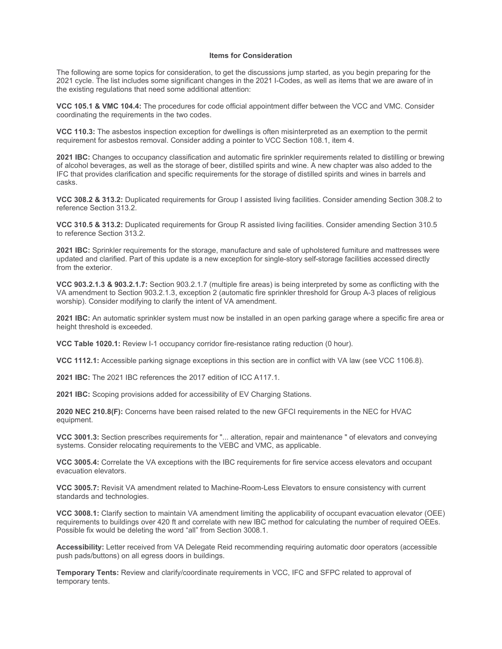# **Items for Consideration**

The following are some topics for consideration, to get the discussions jump started, as you begin preparing for the 2021 cycle. The list includes some significant changes in the 2021 I-Codes, as well as items that we are aware of in the existing regulations that need some additional attention:

**VCC 105.1 & VMC 104.4:** The procedures for code official appointment differ between the VCC and VMC. Consider coordinating the requirements in the two codes.

**VCC 110.3:** The asbestos inspection exception for dwellings is often misinterpreted as an exemption to the permit requirement for asbestos removal. Consider adding a pointer to VCC Section 108.1, item 4.

**2021 IBC:** Changes to occupancy classification and automatic fire sprinkler requirements related to distilling or brewing of alcohol beverages, as well as the storage of beer, distilled spirits and wine. A new chapter was also added to the IFC that provides clarification and specific requirements for the storage of distilled spirits and wines in barrels and casks.

**VCC 308.2 & 313.2:** Duplicated requirements for Group I assisted living facilities. Consider amending Section 308.2 to reference Section 313.2.

**VCC 310.5 & 313.2:** Duplicated requirements for Group R assisted living facilities. Consider amending Section 310.5 to reference Section 313.2.

**2021 IBC:** Sprinkler requirements for the storage, manufacture and sale of upholstered furniture and mattresses were updated and clarified. Part of this update is a new exception for single-story self-storage facilities accessed directly from the exterior.

**VCC 903.2.1.3 & 903.2.1.7:** Section 903.2.1.7 (multiple fire areas) is being interpreted by some as conflicting with the VA amendment to Section 903.2.1.3, exception 2 (automatic fire sprinkler threshold for Group A-3 places of religious worship). Consider modifying to clarify the intent of VA amendment.

**2021 IBC:** An automatic sprinkler system must now be installed in an open parking garage where a specific fire area or height threshold is exceeded.

**VCC Table 1020.1:** Review I-1 occupancy corridor fire-resistance rating reduction (0 hour).

**VCC 1112.1:** Accessible parking signage exceptions in this section are in conflict with VA law (see VCC 1106.8).

**2021 IBC:** The 2021 IBC references the 2017 edition of ICC A117.1.

**2021 IBC:** Scoping provisions added for accessibility of EV Charging Stations.

**2020 NEC 210.8(F):** Concerns have been raised related to the new GFCI requirements in the NEC for HVAC equipment.

**VCC 3001.3:** Section prescribes requirements for "... alteration, repair and maintenance " of elevators and conveying systems. Consider relocating requirements to the VEBC and VMC, as applicable.

**VCC 3005.4:** Correlate the VA exceptions with the IBC requirements for fire service access elevators and occupant evacuation elevators.

**VCC 3005.7:** Revisit VA amendment related to Machine-Room-Less Elevators to ensure consistency with current standards and technologies.

**VCC 3008.1:** Clarify section to maintain VA amendment limiting the applicability of occupant evacuation elevator (OEE) requirements to buildings over 420 ft and correlate with new IBC method for calculating the number of required OEEs. Possible fix would be deleting the word "all" from Section 3008.1.

**Accessibility:** Letter received from VA Delegate Reid recommending requiring automatic door operators (accessible push pads/buttons) on all egress doors in buildings.

**Temporary Tents:** Review and clarify/coordinate requirements in VCC, IFC and SFPC related to approval of temporary tents.